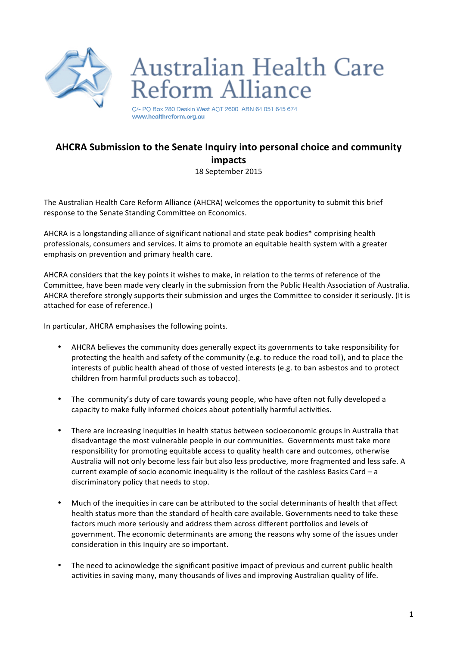

# **Australian Health Care** Reform Alliance

C/- PO Box 280 Deakin West ACT 2600 ABN 64 051 645 674 www.healthreform.org.au

## **AHCRA Submission to the Senate Inquiry into personal choice and community impacts** 18 September 2015

The Australian Health Care Reform Alliance (AHCRA) welcomes the opportunity to submit this brief response to the Senate Standing Committee on Economics.

AHCRA is a longstanding alliance of significant national and state peak bodies\* comprising health professionals, consumers and services. It aims to promote an equitable health system with a greater emphasis on prevention and primary health care.

AHCRA considers that the key points it wishes to make, in relation to the terms of reference of the Committee, have been made very clearly in the submission from the Public Health Association of Australia. AHCRA therefore strongly supports their submission and urges the Committee to consider it seriously. (It is attached for ease of reference.)

In particular, AHCRA emphasises the following points.

- AHCRA believes the community does generally expect its governments to take responsibility for protecting the health and safety of the community (e.g. to reduce the road toll), and to place the interests of public health ahead of those of vested interests (e.g. to ban asbestos and to protect children from harmful products such as tobacco).
- The community's duty of care towards young people, who have often not fully developed a capacity to make fully informed choices about potentially harmful activities.
- There are increasing inequities in health status between socioeconomic groups in Australia that disadvantage the most vulnerable people in our communities. Governments must take more responsibility for promoting equitable access to quality health care and outcomes, otherwise Australia will not only become less fair but also less productive, more fragmented and less safe. A current example of socio economic inequality is the rollout of the cashless Basics Card - a discriminatory policy that needs to stop.
- Much of the inequities in care can be attributed to the social determinants of health that affect health status more than the standard of health care available. Governments need to take these factors much more seriously and address them across different portfolios and levels of government. The economic determinants are among the reasons why some of the issues under consideration in this Inquiry are so important.
- The need to acknowledge the significant positive impact of previous and current public health activities in saving many, many thousands of lives and improving Australian quality of life.